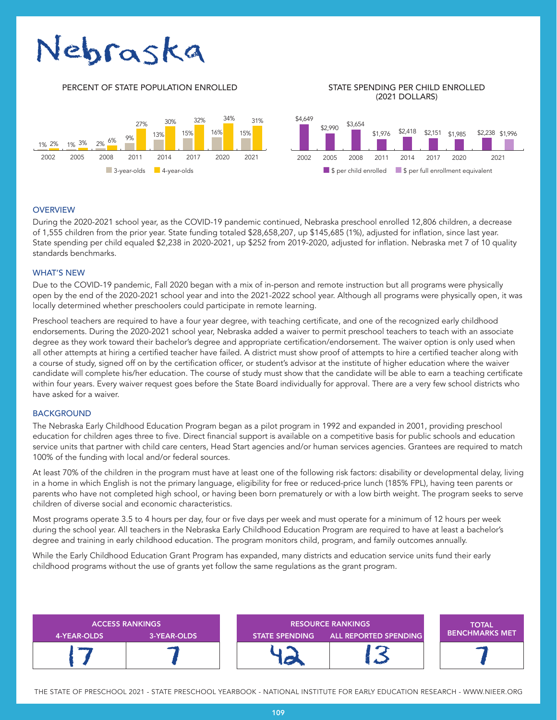# Nebraska

#### PERCENT OF STATE POPULATION ENROLLED STATE SPENDING PER CHILD ENROLLED

## (2021 DOLLARS)



#### **OVERVIEW**

During the 2020-2021 school year, as the COVID-19 pandemic continued, Nebraska preschool enrolled 12,806 children, a decrease of 1,555 children from the prior year. State funding totaled \$28,658,207, up \$145,685 (1%), adjusted for inflation, since last year. State spending per child equaled \$2,238 in 2020-2021, up \$252 from 2019-2020, adjusted for inflation. Nebraska met 7 of 10 quality standards benchmarks.

#### WHAT'S NEW

Due to the COVID-19 pandemic, Fall 2020 began with a mix of in-person and remote instruction but all programs were physically open by the end of the 2020-2021 school year and into the 2021-2022 school year. Although all programs were physically open, it was locally determined whether preschoolers could participate in remote learning.

Preschool teachers are required to have a four year degree, with teaching certificate, and one of the recognized early childhood endorsements. During the 2020-2021 school year, Nebraska added a waiver to permit preschool teachers to teach with an associate degree as they work toward their bachelor's degree and appropriate certification/endorsement. The waiver option is only used when all other attempts at hiring a certified teacher have failed. A district must show proof of attempts to hire a certified teacher along with a course of study, signed off on by the certification officer, or student's advisor at the institute of higher education where the waiver candidate will complete his/her education. The course of study must show that the candidate will be able to earn a teaching certificate within four years. Every waiver request goes before the State Board individually for approval. There are a very few school districts who have asked for a waiver.

#### **BACKGROUND**

The Nebraska Early Childhood Education Program began as a pilot program in 1992 and expanded in 2001, providing preschool education for children ages three to five. Direct financial support is available on a competitive basis for public schools and education service units that partner with child care centers, Head Start agencies and/or human services agencies. Grantees are required to match 100% of the funding with local and/or federal sources.

At least 70% of the children in the program must have at least one of the following risk factors: disability or developmental delay, living in a home in which English is not the primary language, eligibility for free or reduced-price lunch (185% FPL), having teen parents or parents who have not completed high school, or having been born prematurely or with a low birth weight. The program seeks to serve children of diverse social and economic characteristics.

Most programs operate 3.5 to 4 hours per day, four or five days per week and must operate for a minimum of 12 hours per week during the school year. All teachers in the Nebraska Early Childhood Education Program are required to have at least a bachelor's degree and training in early childhood education. The program monitors child, program, and family outcomes annually.

While the Early Childhood Education Grant Program has expanded, many districts and education service units fund their early childhood programs without the use of grants yet follow the same regulations as the grant program.



THE STATE OF PRESCHOOL 2021 - STATE PRESCHOOL YEARBOOK - NATIONAL INSTITUTE FOR EARLY EDUCATION RESEARCH - WWW.NIEER.ORG